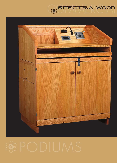

**SPECTRA WOOD**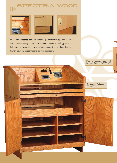







Successful speeches start with versatile podiums from Spectra Wood. We combine quality construction with convenient technology - from lighting to data ports to power strips — to construct podiums that can launch powerful presentations for your company.

> Document Camera/Overhead Projector Cabinet *DCOH1 (10)*

Technology Podium #1 *TECH100 (05)*

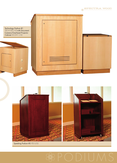



Speaking Podium #3 *PD3 (03)*